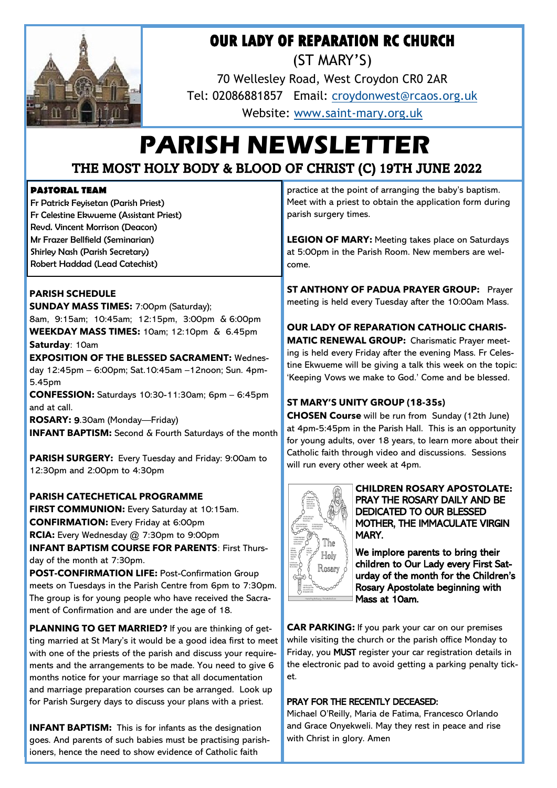

# **OUR LADY OF REPARATION RC CHURCH**

(ST MARY'S)

70 Wellesley Road, West Croydon CR0 2AR Tel: 02086881857 Email: [croydonwest@rcaos.org.uk](mailto:croydonwest@rcaos.org.uk) Website: www.saint-[mary.org.uk](http://www.saint-mary.org.uk)

# **PARISH NEWSLETTER** THE MOST HOLY BODY & BLOOD OF CHRIST (C) 19TH JUNE 2022

## **PASTORAL TEAM**

Fr Patrick Feyisetan (Parish Priest) Fr Celestine Ekwueme (Assistant Priest) Revd. Vincent Morrison (Deacon) Mr Frazer Bellfield (Seminarian) Shirley Nash (Parish Secretary) Robert Haddad (Lead Catechist)

## **PARISH SCHEDULE**

**SUNDAY MASS TIMES:** 7:00pm (Saturday); 8am, 9:15am; 10:45am; 12:15pm, 3:00pm & 6:00pm **WEEKDAY MASS TIMES:** 10am; 12:10pm & 6.45pm **Saturday**: 10am

**EXPOSITION OF THE BLESSED SACRAMENT:** Wednesday 12:45pm – 6:00pm; Sat.10:45am –12noon; Sun. 4pm-5.45pm **CONFESSION:** Saturdays 10:30-11:30am; 6pm – 6:45pm and at call.

**ROSARY:** 9.30am (Monday—Friday)

**INFANT BAPTISM:** Second & Fourth Saturdays of the month

**PARISH SURGERY:** Every Tuesday and Friday: 9:00am to 12:30pm and 2:00pm to 4:30pm

**PARISH CATECHETICAL PROGRAMME FIRST COMMUNION:** Every Saturday at 10:15am. **CONFIRMATION:** Every Friday at 6:00pm **RCIA:** Every Wednesday @ 7:30pm to 9:00pm **INFANT BAPTISM COURSE FOR PARENTS**: First Thursday of the month at 7:30pm.

**POST-CONFIRMATION LIFE:** Post-Confirmation Group meets on Tuesdays in the Parish Centre from 6pm to 7:30pm. The group is for young people who have received the Sacrament of Confirmation and are under the age of 18.

**PLANNING TO GET MARRIED?** If you are thinking of getting married at St Mary's it would be a good idea first to meet with one of the priests of the parish and discuss your requirements and the arrangements to be made. You need to give 6 months notice for your marriage so that all documentation and marriage preparation courses can be arranged. Look up for Parish Surgery days to discuss your plans with a priest.

**INFANT BAPTISM:** This is for infants as the designation goes. And parents of such babies must be practising parishioners, hence the need to show evidence of Catholic faith

practice at the point of arranging the baby's baptism. Meet with a priest to obtain the application form during parish surgery times.

**LEGION OF MARY:** Meeting takes place on Saturdays at 5:00pm in the Parish Room. New members are welcome.

**ST ANTHONY OF PADUA PRAYER GROUP:** Prayer meeting is held every Tuesday after the 10:00am Mass.

**OUR LADY OF REPARATION CATHOLIC CHARIS-MATIC RENEWAL GROUP:** Charismatic Prayer meeting is held every Friday after the evening Mass. Fr Celestine Ekwueme will be giving a talk this week on the topic: 'Keeping Vows we make to God.' Come and be blessed.

## **ST MARY'S UNITY GROUP (18-35s)**

**CHOSEN Course** will be run from Sunday (12th June) at 4pm-5:45pm in the Parish Hall. This is an opportunity for young adults, over 18 years, to learn more about their Catholic faith through video and discussions. Sessions will run every other week at 4pm.



**CHILDREN ROSARY APOSTOLATE:**  PRAY THE ROSARY DAILY AND BE DEDICATED TO OUR BLESSED MOTHER, THE IMMACULATE VIRGIN MARY.

We implore parents to bring their children to Our Lady every First Saturday of the month for the Children's Rosary Apostolate beginning with Mass at 10am.

**CAR PARKING:** If you park your car on our premises while visiting the church or the parish office Monday to Friday, you MUST register your car registration details in the electronic pad to avoid getting a parking penalty ticket.

## PRAY FOR THE RECENTLY DECEASED:

Michael O'Reilly, Maria de Fatima, Francesco Orlando and Grace Onyekweli. May they rest in peace and rise with Christ in glory. Amen